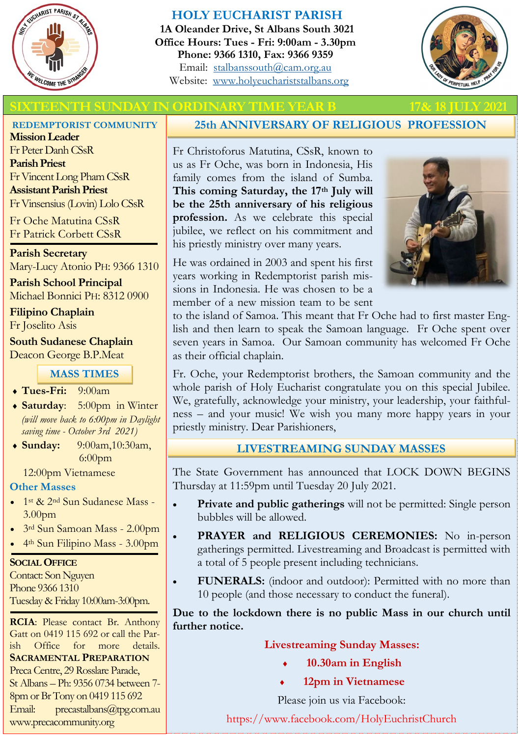

#### **HOLY EUCHARIST PARISH**

**1A Oleander Drive, St Albans South 3021 Office Hours: Tues - Fri: 9:00am - 3.30pm Phone: 9366 1310, Fax: 9366 9359** Email: [stalbanssouth@cam.org.au](mailto:stalbanssouth@cam.org.au) Website:[www.holyeuchariststalbans.org](http://www.holyeuchariststalbans.org)



#### EENTH SUNDAY IN ORDINARY TIME YEAR B

#### **REDEMPTORIST COMMUNITY**

**Mission Leader** Fr Peter Danh CSsR **Parish Priest** Fr Vincent Long Pham CSsR **Assistant Parish Priest**  Fr Vinsensius (Lovin) Lolo CSsR

Fr Oche Matutina CSsR Fr Patrick Corbett CSsR

#### **Parish Secretary** Mary-Lucy Atonio PH: 9366 1310

**Parish School Principal** Michael Bonnici PH: 8312 0900

**Filipino Chaplain** Fr Joselito Asis

**South Sudanese Chaplain** Deacon George B.P.Meat

#### **MASS TIMES**

**Tues-Fri:** 9:00am

- **Saturday**: 5:00pm in Winter *(will move back to 6:00pm in Daylight saving time - October 3rd 2021)*
- **Sunday:** 9:00am,10:30am, 6:00pm

12:00pm Vietnamese

#### **Other Masses**

- 1<sup>st</sup> & 2<sup>nd</sup> Sun Sudanese Mass -3.00pm
- 3rd Sun Samoan Mass 2.00pm
- 4th Sun Filipino Mass 3.00pm

#### **SOCIAL OFFICE**

Contact: Son Nguyen Phone 9366 1310 Tuesday & Friday 10:00am-3:00pm.

**RCIA**: Please contact Br. Anthony Gatt on 0419 115 692 or call the Parish Office for more details. **SACRAMENTAL PREPARATION** Preca Centre, 29 Rosslare Parade, St Albans – Ph: 9356 0734 between 7- 8pm or Br Tony on 0419 115 692 Email: precastalbans@tpg.com.au www.precacommunity.org

#### **25th ANNIVERSARY OF RELIGIOUS PROFESSION**

Fr Christoforus Matutina, CSsR, known to us as Fr Oche, was born in Indonesia, His family comes from the island of Sumba. **This coming Saturday, the 17th July will be the 25th anniversary of his religious profession.** As we celebrate this special jubilee, we reflect on his commitment and his priestly ministry over many years.

He was ordained in 2003 and spent his first years working in Redemptorist parish missions in Indonesia. He was chosen to be a member of a new mission team to be sent



to the island of Samoa. This meant that Fr Oche had to first master English and then learn to speak the Samoan language. Fr Oche spent over seven years in Samoa. Our Samoan community has welcomed Fr Oche as their official chaplain.

Fr. Oche, your Redemptorist brothers, the Samoan community and the whole parish of Holy Eucharist congratulate you on this special Jubilee. We, gratefully, acknowledge your ministry, your leadership, your faithfulness – and your music! We wish you many more happy years in your priestly ministry. Dear Parishioners,

#### **LIVESTREAMING SUNDAY MASSES**

The State Government has announced that LOCK DOWN BEGINS Thursday at 11:59pm until Tuesday 20 July 2021.

- **Private and public gatherings** will not be permitted: Single person bubbles will be allowed.
- **PRAYER and RELIGIOUS CEREMONIES:** No in-person gatherings permitted. Livestreaming and Broadcast is permitted with a total of 5 people present including technicians.
- **FUNERALS:** (indoor and outdoor): Permitted with no more than 10 people (and those necessary to conduct the funeral).

**Due to the lockdown there is no public Mass in our church until further notice.**

#### **Livestreaming Sunday Masses:**

- **10.30am in English**
- **12pm in Vietnamese**

Please join us via Facebook:

https://www.facebook.com/HolyEuchristChurch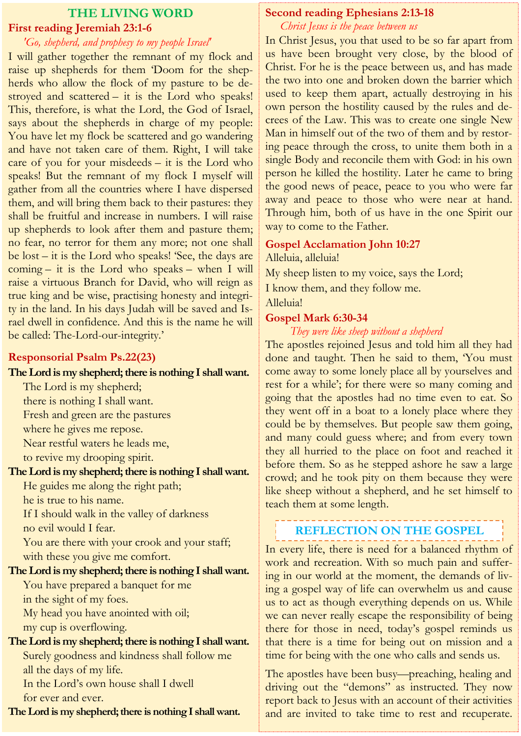# **THE LIVING WORD First reading Jeremiah 23:1-6**

#### *'Go, shepherd, and prophesy to my people Israel'*

I will gather together the remnant of my flock and raise up shepherds for them 'Doom for the shepherds who allow the flock of my pasture to be destroyed and scattered – it is the Lord who speaks! This, therefore, is what the Lord, the God of Israel, says about the shepherds in charge of my people: You have let my flock be scattered and go wandering and have not taken care of them. Right, I will take care of you for your misdeeds – it is the Lord who speaks! But the remnant of my flock I myself will gather from all the countries where I have dispersed them, and will bring them back to their pastures: they shall be fruitful and increase in numbers. I will raise up shepherds to look after them and pasture them; no fear, no terror for them any more; not one shall be lost – it is the Lord who speaks! 'See, the days are coming – it is the Lord who speaks – when I will raise a virtuous Branch for David, who will reign as true king and be wise, practising honesty and integrity in the land. In his days Judah will be saved and Israel dwell in confidence. And this is the name he will be called: The-Lord-our-integrity.'

#### **Responsorial Psalm Ps.22(23)**

#### **The Lord is my shepherd; there is nothing I shall want.**

The Lord is my shepherd; there is nothing I shall want. Fresh and green are the pastures

where he gives me repose.

Near restful waters he leads me,

to revive my drooping spirit.

#### **The Lord is my shepherd; there is nothing I shall want.**

He guides me along the right path;

he is true to his name.

If I should walk in the valley of darkness no evil would I fear.

You are there with your crook and your staff; with these you give me comfort.

## **The Lord is my shepherd; there is nothing I shall want.**

You have prepared a banquet for me in the sight of my foes.

My head you have anointed with oil; my cup is overflowing.

### **The Lord is my shepherd; there is nothing I shall want.**

Surely goodness and kindness shall follow me all the days of my life.

In the Lord's own house shall I dwell for ever and ever.

**The Lord is my shepherd; there is nothing I shall want.**

#### **Second reading Ephesians 2:13-18** *Christ Jesus is the peace between us*

In Christ Jesus, you that used to be so far apart from us have been brought very close, by the blood of Christ. For he is the peace between us, and has made the two into one and broken down the barrier which used to keep them apart, actually destroying in his own person the hostility caused by the rules and decrees of the Law. This was to create one single New Man in himself out of the two of them and by restoring peace through the cross, to unite them both in a single Body and reconcile them with God: in his own person he killed the hostility. Later he came to bring the good news of peace, peace to you who were far away and peace to those who were near at hand. Through him, both of us have in the one Spirit our way to come to the Father.

#### **Gospel Acclamation John 10:27**

Alleluia, alleluia!

My sheep listen to my voice, says the Lord;

I know them, and they follow me.

Alleluia!

#### **Gospel Mark 6:30-34**

#### *They were like sheep without a shepherd*

The apostles rejoined Jesus and told him all they had done and taught. Then he said to them, 'You must come away to some lonely place all by yourselves and rest for a while'; for there were so many coming and going that the apostles had no time even to eat. So they went off in a boat to a lonely place where they could be by themselves. But people saw them going, and many could guess where; and from every town they all hurried to the place on foot and reached it before them. So as he stepped ashore he saw a large crowd; and he took pity on them because they were like sheep without a shepherd, and he set himself to teach them at some length.

# **REFLECTION ON THE GOSPEL**

In every life, there is need for a balanced rhythm of work and recreation. With so much pain and suffering in our world at the moment, the demands of living a gospel way of life can overwhelm us and cause us to act as though everything depends on us. While we can never really escape the responsibility of being there for those in need, today's gospel reminds us that there is a time for being out on mission and a time for being with the one who calls and sends us.

The apostles have been busy—preaching, healing and driving out the "demons" as instructed. They now report back to Jesus with an account of their activities and are invited to take time to rest and recuperate.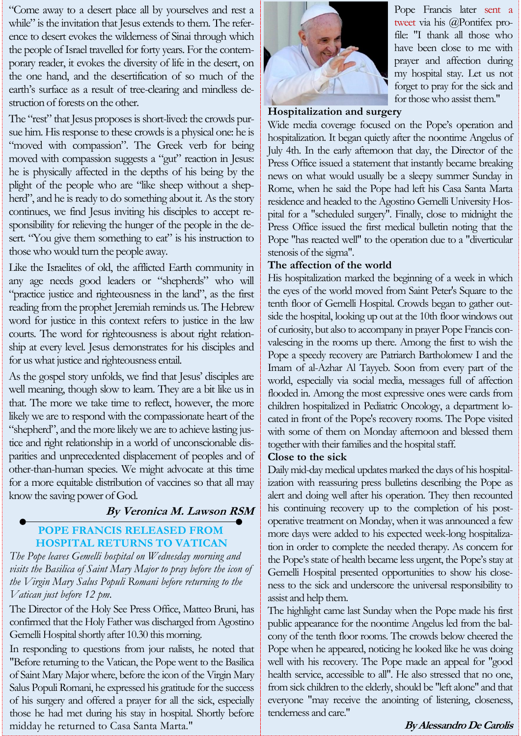"Come away to a desert place all by yourselves and rest a while" is the invitation that Jesus extends to them. The reference to desert evokes the wilderness of Sinai through which the people of Israel travelled for forty years. For the contemporary reader, it evokes the diversity of life in the desert, on the one hand, and the desertification of so much of the earth's surface as a result of tree-clearing and mindless destruction of forests on the other.

The "rest" that Jesus proposes is short-lived: the crowds pursue him. His response to these crowds is a physical one: he is "moved with compassion". The Greek verb for being moved with compassion suggests a "gut" reaction in Jesus: he is physically affected in the depths of his being by the plight of the people who are "like sheep without a shepherd", and he is ready to do something about it. As the story continues, we find Jesus inviting his disciples to accept responsibility for relieving the hunger of the people in the desert. "You give them something to eat" is his instruction to those who would turn the people away.

Like the Israelites of old, the afflicted Earth community in any age needs good leaders or "shepherds" who will "practice justice and righteousness in the land", as the first reading from the prophet Jeremiah reminds us. The Hebrew word for justice in this context refers to justice in the law courts. The word for righteousness is about right relationship at every level. Jesus demonstrates for his disciples and for us what justice and righteousness entail.

As the gospel story unfolds, we find that Jesus' disciples are well meaning, though slow to learn. They are a bit like us in that. The more we take time to reflect, however, the more likely we are to respond with the compassionate heart of the "shepherd", and the more likely we are to achieve lasting justice and right relationship in a world of unconscionable disparities and unprecedented displacement of peoples and of other-than-human species. We might advocate at this time for a more equitable distribution of vaccines so that all may know the saving power of God.

#### **By Veronica M. Lawson RSM**

#### **POPE FRANCIS RELEASED FROM HOSPITAL RETURNS TO VATICAN**

*The Pope leaves Gemelli hospital on Wednesday morning and visits the Basilica of Saint Mary Major to pray before the icon of the Virgin Mary Salus Populi Romani before returning to the Vatican just before 12 pm.*

The Director of the Holy See Press Office, Matteo Bruni, has confirmed that the Holy Father was discharged from Agostino Gemelli Hospital shortly after 10.30 this morning.

In responding to questions from jour nalists, he noted that "Before returning to the Vatican, the Pope went to the Basilica of Saint Mary Major where, before the icon of the Virgin Mary Salus Populi Romani, he expressed his gratitude for the success of his surgery and offered a prayer for all the sick, especially those he had met during his stay in hospital. Shortly before midday he returned to Casa Santa Marta."



Pope Francis later sent a tweet via his @Pontifex profile: "I thank all those who have been close to me with prayer and affection during my hospital stay. Let us not forget to pray for the sick and for those who assist them."

#### **Hospitalization and surgery**

Wide media coverage focused on the Pope's operation and hospitalization. It began quietly after the noontime Angelus of July 4th. In the early afternoon that day, the Director of the Press Office issued a statement that instantly became breaking news on what would usually be a sleepy summer Sunday in Rome, when he said the Pope had left his Casa Santa Marta residence and headed to the Agostino Gemelli University Hospital for a "scheduled surgery". Finally, close to midnight the Press Office issued the first medical bulletin noting that the Pope "has reacted well" to the operation due to a "diverticular stenosis of the sigma".

#### **The affection of the world**

His hospitalization marked the beginning of a week in which the eyes of the world moved from Saint Peter's Square to the tenth floor of Gemelli Hospital. Crowds began to gather outside the hospital, looking up out at the 10th floor windows out of curiosity, but also to accompany in prayer Pope Francis convalescing in the rooms up there. Among the first to wish the Pope a speedy recovery are Patriarch Bartholomew I and the Imam of al-Azhar Al Tayyeb. Soon from every part of the world, especially via social media, messages full of affection flooded in. Among the most expressive ones were cards from children hospitalized in Pediatric Oncology, a department located in front of the Pope's recovery rooms. The Pope visited with some of them on Monday afternoon and blessed them together with their families and the hospital staff.

#### **Close to the sick**

Daily mid-day medical updates marked the days of his hospitalization with reassuring press bulletins describing the Pope as alert and doing well after his operation. They then recounted his continuing recovery up to the completion of his postoperative treatment on Monday, when it was announced a few more days were added to his expected week-long hospitalization in order to complete the needed therapy. As concern for the Pope's state of health became less urgent, the Pope's stay at Gemelli Hospital presented opportunities to show his closeness to the sick and underscore the universal responsibility to assist and help them.

The highlight came last Sunday when the Pope made his first public appearance for the noontime Angelus led from the balcony of the tenth floor rooms. The crowds below cheered the Pope when he appeared, noticing he looked like he was doing well with his recovery. The Pope made an appeal for "good health service, accessible to all". He also stressed that no one, from sick children to the elderly, should be "left alone" and that everyone "may receive the anointing of listening, closeness, tenderness and care."

#### **By Alessandro De Carolis**